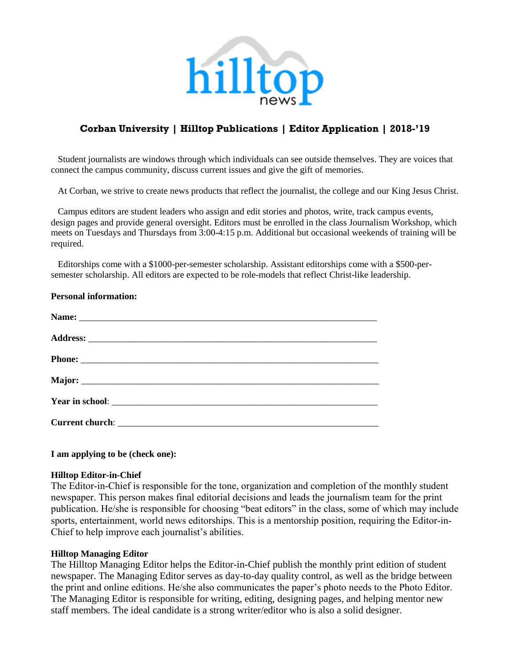

# **Corban University | Hilltop Publications | Editor Application | 2018-'19**

 Student journalists are windows through which individuals can see outside themselves. They are voices that connect the campus community, discuss current issues and give the gift of memories.

At Corban, we strive to create news products that reflect the journalist, the college and our King Jesus Christ.

 Campus editors are student leaders who assign and edit stories and photos, write, track campus events, design pages and provide general oversight. Editors must be enrolled in the class Journalism Workshop, which meets on Tuesdays and Thursdays from 3:00-4:15 p.m. Additional but occasional weekends of training will be required.

 Editorships come with a \$1000-per-semester scholarship. Assistant editorships come with a \$500-persemester scholarship. All editors are expected to be role-models that reflect Christ-like leadership.

| <b>Personal information:</b>                                                                                                                                                                                                        |
|-------------------------------------------------------------------------------------------------------------------------------------------------------------------------------------------------------------------------------------|
|                                                                                                                                                                                                                                     |
|                                                                                                                                                                                                                                     |
| Phone:                                                                                                                                                                                                                              |
|                                                                                                                                                                                                                                     |
|                                                                                                                                                                                                                                     |
| Current church: <u>Current church: Current</u> church: Current church: Current church: Current church: Current church: Current church: Current church: Current church: Current church: Current church: Current church: Current chur |
|                                                                                                                                                                                                                                     |

#### **I am applying to be (check one):**

#### **Hilltop Editor-in-Chief**

The Editor-in-Chief is responsible for the tone, organization and completion of the monthly student newspaper. This person makes final editorial decisions and leads the journalism team for the print publication. He/she is responsible for choosing "beat editors" in the class, some of which may include sports, entertainment, world news editorships. This is a mentorship position, requiring the Editor-in-Chief to help improve each journalist's abilities.

#### **Hilltop Managing Editor**

The Hilltop Managing Editor helps the Editor-in-Chief publish the monthly print edition of student newspaper. The Managing Editor serves as day-to-day quality control, as well as the bridge between the print and online editions. He/she also communicates the paper's photo needs to the Photo Editor. The Managing Editor is responsible for writing, editing, designing pages, and helping mentor new staff members. The ideal candidate is a strong writer/editor who is also a solid designer.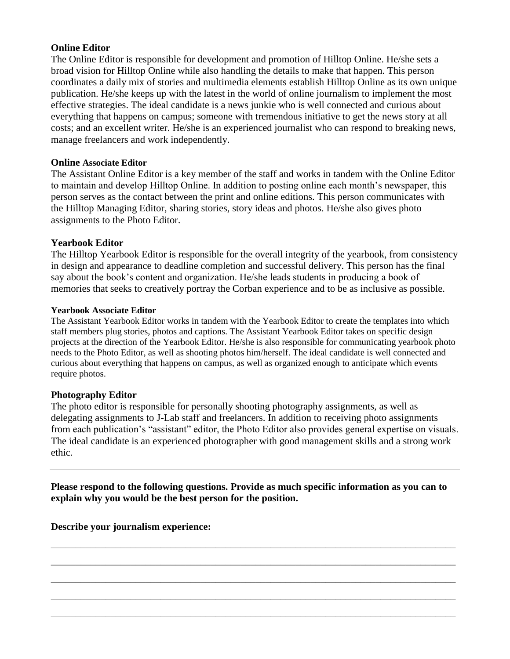### **Online Editor**

The Online Editor is responsible for development and promotion of Hilltop Online. He/she sets a broad vision for Hilltop Online while also handling the details to make that happen. This person coordinates a daily mix of stories and multimedia elements establish Hilltop Online as its own unique publication. He/she keeps up with the latest in the world of online journalism to implement the most effective strategies. The ideal candidate is a news junkie who is well connected and curious about everything that happens on campus; someone with tremendous initiative to get the news story at all costs; and an excellent writer. He/she is an experienced journalist who can respond to breaking news, manage freelancers and work independently.

### **Online Associate Editor**

The Assistant Online Editor is a key member of the staff and works in tandem with the Online Editor to maintain and develop Hilltop Online. In addition to posting online each month's newspaper, this person serves as the contact between the print and online editions. This person communicates with the Hilltop Managing Editor, sharing stories, story ideas and photos. He/she also gives photo assignments to the Photo Editor.

## **Yearbook Editor**

The Hilltop Yearbook Editor is responsible for the overall integrity of the yearbook, from consistency in design and appearance to deadline completion and successful delivery. This person has the final say about the book's content and organization. He/she leads students in producing a book of memories that seeks to creatively portray the Corban experience and to be as inclusive as possible.

#### **Yearbook Associate Editor**

The Assistant Yearbook Editor works in tandem with the Yearbook Editor to create the templates into which staff members plug stories, photos and captions. The Assistant Yearbook Editor takes on specific design projects at the direction of the Yearbook Editor. He/she is also responsible for communicating yearbook photo needs to the Photo Editor, as well as shooting photos him/herself. The ideal candidate is well connected and curious about everything that happens on campus, as well as organized enough to anticipate which events require photos.

### **Photography Editor**

The photo editor is responsible for personally shooting photography assignments, as well as delegating assignments to J-Lab staff and freelancers. In addition to receiving photo assignments from each publication's "assistant" editor, the Photo Editor also provides general expertise on visuals. The ideal candidate is an experienced photographer with good management skills and a strong work ethic.

**Please respond to the following questions. Provide as much specific information as you can to explain why you would be the best person for the position.**

\_\_\_\_\_\_\_\_\_\_\_\_\_\_\_\_\_\_\_\_\_\_\_\_\_\_\_\_\_\_\_\_\_\_\_\_\_\_\_\_\_\_\_\_\_\_\_\_\_\_\_\_\_\_\_\_\_\_\_\_\_\_\_\_\_\_\_\_\_\_\_\_\_\_\_\_\_\_\_\_\_

\_\_\_\_\_\_\_\_\_\_\_\_\_\_\_\_\_\_\_\_\_\_\_\_\_\_\_\_\_\_\_\_\_\_\_\_\_\_\_\_\_\_\_\_\_\_\_\_\_\_\_\_\_\_\_\_\_\_\_\_\_\_\_\_\_\_\_\_\_\_\_\_\_\_\_\_\_\_\_\_\_

\_\_\_\_\_\_\_\_\_\_\_\_\_\_\_\_\_\_\_\_\_\_\_\_\_\_\_\_\_\_\_\_\_\_\_\_\_\_\_\_\_\_\_\_\_\_\_\_\_\_\_\_\_\_\_\_\_\_\_\_\_\_\_\_\_\_\_\_\_\_\_\_\_\_\_\_\_\_\_\_\_

\_\_\_\_\_\_\_\_\_\_\_\_\_\_\_\_\_\_\_\_\_\_\_\_\_\_\_\_\_\_\_\_\_\_\_\_\_\_\_\_\_\_\_\_\_\_\_\_\_\_\_\_\_\_\_\_\_\_\_\_\_\_\_\_\_\_\_\_\_\_\_\_\_\_\_\_\_\_\_\_\_

\_\_\_\_\_\_\_\_\_\_\_\_\_\_\_\_\_\_\_\_\_\_\_\_\_\_\_\_\_\_\_\_\_\_\_\_\_\_\_\_\_\_\_\_\_\_\_\_\_\_\_\_\_\_\_\_\_\_\_\_\_\_\_\_\_\_\_\_\_\_\_\_\_\_\_\_\_\_\_\_\_

**Describe your journalism experience:**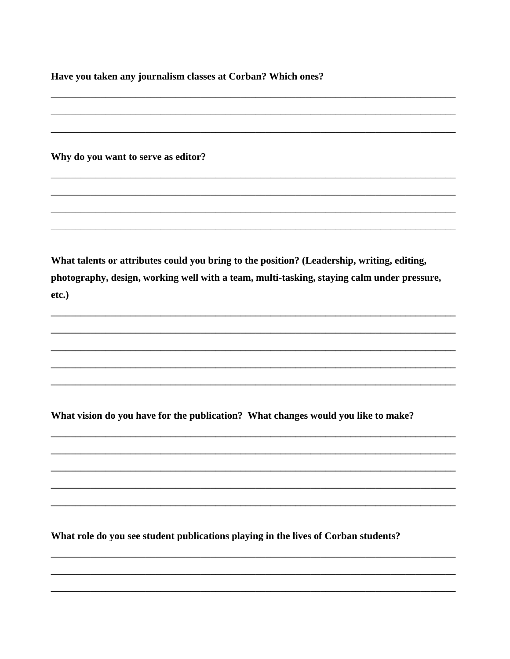Have you taken any journalism classes at Corban? Which ones?

Why do you want to serve as editor?

What talents or attributes could you bring to the position? (Leadership, writing, editing, photography, design, working well with a team, multi-tasking, staying calm under pressure, etc.)

What vision do you have for the publication? What changes would you like to make?

What role do you see student publications playing in the lives of Corban students?